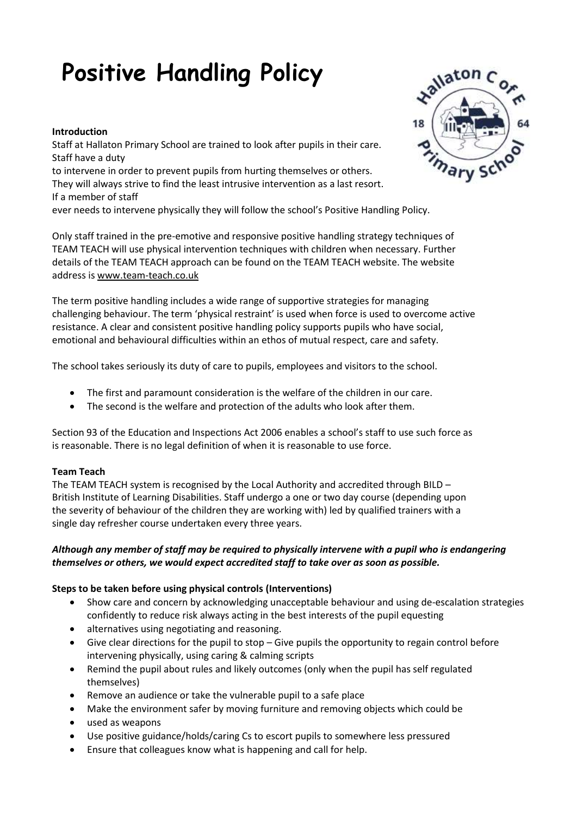# **Positive Handling Policy**

#### **Introduction**

Staff at Hallaton Primary School are trained to look after pupils in their care. Staff have a duty to intervene in order to prevent pupils from hurting themselves or others. They will always strive to find the least intrusive intervention as a last resort. If a member of staff ever needs to intervene physically they will follow the school's Positive Handling Policy.

Only staff trained in the pre-emotive and responsive positive handling strategy techniques of TEAM TEACH will use physical intervention techniques with children when necessary. Further details of the TEAM TEACH approach can be found on the TEAM TEACH website. The website address i[s www.team-teach.co.uk](http://www.team-teach.co.uk/)

The term positive handling includes a wide range of supportive strategies for managing challenging behaviour. The term 'physical restraint' is used when force is used to overcome active resistance. A clear and consistent positive handling policy supports pupils who have social, emotional and behavioural difficulties within an ethos of mutual respect, care and safety.

The school takes seriously its duty of care to pupils, employees and visitors to the school.

- The first and paramount consideration is the welfare of the children in our care.
- The second is the welfare and protection of the adults who look after them.

Section 93 of the Education and Inspections Act 2006 enables a school's staff to use such force as is reasonable. There is no legal definition of when it is reasonable to use force.

#### **Team Teach**

The TEAM TEACH system is recognised by the Local Authority and accredited through BILD  $-$ British Institute of Learning Disabilities. Staff undergo a one or two day course (depending upon the severity of behaviour of the children they are working with) led by qualified trainers with a single day refresher course undertaken every three years.

## *Although any member of staff may be required to physically intervene with a pupil who is endangering themselves or others, we would expect accredited staff to take over as soon as possible.*

## **Steps to be taken before using physical controls (Interventions)**

- Show care and concern by acknowledging unacceptable behaviour and using de-escalation strategies confidently to reduce risk always acting in the best interests of the pupil equesting
- alternatives using negotiating and reasoning.
- Give clear directions for the pupil to stop Give pupils the opportunity to regain control before intervening physically, using caring & calming scripts
- Remind the pupil about rules and likely outcomes (only when the pupil has self regulated themselves)
- Remove an audience or take the vulnerable pupil to a safe place
- Make the environment safer by moving furniture and removing objects which could be
- used as weapons
- Use positive guidance/holds/caring Cs to escort pupils to somewhere less pressured
- Ensure that colleagues know what is happening and call for help.

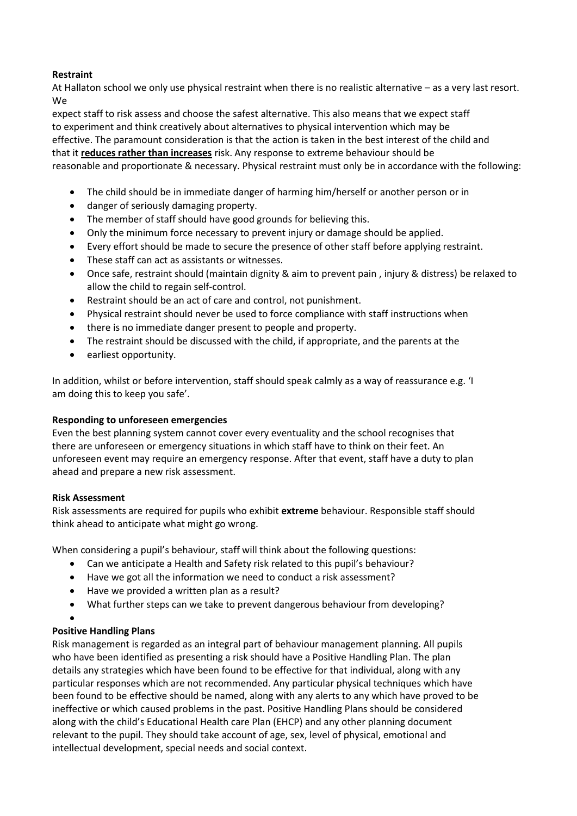## **Restraint**

At Hallaton school we only use physical restraint when there is no realistic alternative – as a very last resort. We

expect staff to risk assess and choose the safest alternative. This also means that we expect staff to experiment and think creatively about alternatives to physical intervention which may be effective. The paramount consideration is that the action is taken in the best interest of the child and that it **reduces rather than increases** risk. Any response to extreme behaviour should be reasonable and proportionate & necessary. Physical restraint must only be in accordance with the following:

- The child should be in immediate danger of harming him/herself or another person or in
- danger of seriously damaging property.
- The member of staff should have good grounds for believing this.
- Only the minimum force necessary to prevent injury or damage should be applied.
- Every effort should be made to secure the presence of other staff before applying restraint.
- These staff can act as assistants or witnesses.
- Once safe, restraint should (maintain dignity & aim to prevent pain , injury & distress) be relaxed to allow the child to regain self-control.
- Restraint should be an act of care and control, not punishment.
- Physical restraint should never be used to force compliance with staff instructions when
- there is no immediate danger present to people and property.
- The restraint should be discussed with the child, if appropriate, and the parents at the
- earliest opportunity.

In addition, whilst or before intervention, staff should speak calmly as a way of reassurance e.g. 'I am doing this to keep you safe'.

## **Responding to unforeseen emergencies**

Even the best planning system cannot cover every eventuality and the school recognises that there are unforeseen or emergency situations in which staff have to think on their feet. An unforeseen event may require an emergency response. After that event, staff have a duty to plan ahead and prepare a new risk assessment.

## **Risk Assessment**

Risk assessments are required for pupils who exhibit **extreme** behaviour. Responsible staff should think ahead to anticipate what might go wrong.

When considering a pupil's behaviour, staff will think about the following questions:

- Can we anticipate a Health and Safety risk related to this pupil's behaviour?
- Have we got all the information we need to conduct a risk assessment?
- Have we provided a written plan as a result?
- What further steps can we take to prevent dangerous behaviour from developing?
- $\bullet$

## **Positive Handling Plans**

Risk management is regarded as an integral part of behaviour management planning. All pupils who have been identified as presenting a risk should have a Positive Handling Plan. The plan details any strategies which have been found to be effective for that individual, along with any particular responses which are not recommended. Any particular physical techniques which have been found to be effective should be named, along with any alerts to any which have proved to be ineffective or which caused problems in the past. Positive Handling Plans should be considered along with the child's Educational Health care Plan (EHCP) and any other planning document relevant to the pupil. They should take account of age, sex, level of physical, emotional and intellectual development, special needs and social context.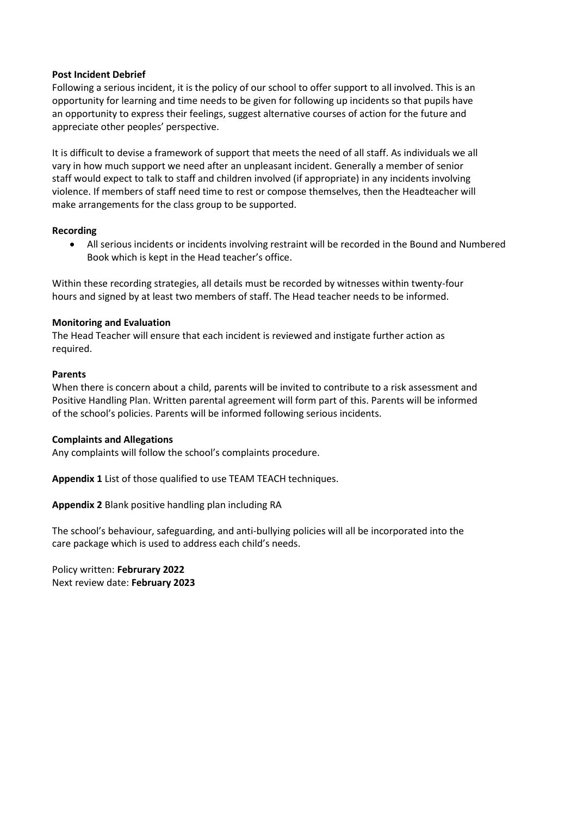#### **Post Incident Debrief**

Following a serious incident, it is the policy of our school to offer support to all involved. This is an opportunity for learning and time needs to be given for following up incidents so that pupils have an opportunity to express their feelings, suggest alternative courses of action for the future and appreciate other peoples' perspective.

It is difficult to devise a framework of support that meets the need of all staff. As individuals we all vary in how much support we need after an unpleasant incident. Generally a member of senior staff would expect to talk to staff and children involved (if appropriate) in any incidents involving violence. If members of staff need time to rest or compose themselves, then the Headteacher will make arrangements for the class group to be supported.

## **Recording**

 All serious incidents or incidents involving restraint will be recorded in the Bound and Numbered Book which is kept in the Head teacher's office.

Within these recording strategies, all details must be recorded by witnesses within twenty-four hours and signed by at least two members of staff. The Head teacher needs to be informed.

### **Monitoring and Evaluation**

The Head Teacher will ensure that each incident is reviewed and instigate further action as required.

### **Parents**

When there is concern about a child, parents will be invited to contribute to a risk assessment and Positive Handling Plan. Written parental agreement will form part of this. Parents will be informed of the school's policies. Parents will be informed following serious incidents.

## **Complaints and Allegations**

Any complaints will follow the school's complaints procedure.

**Appendix 1** List of those qualified to use TEAM TEACH techniques.

**Appendix 2** Blank positive handling plan including RA

The school's behaviour, safeguarding, and anti-bullying policies will all be incorporated into the care package which is used to address each child's needs.

Policy written: **Februrary 2022** Next review date: **February 2023**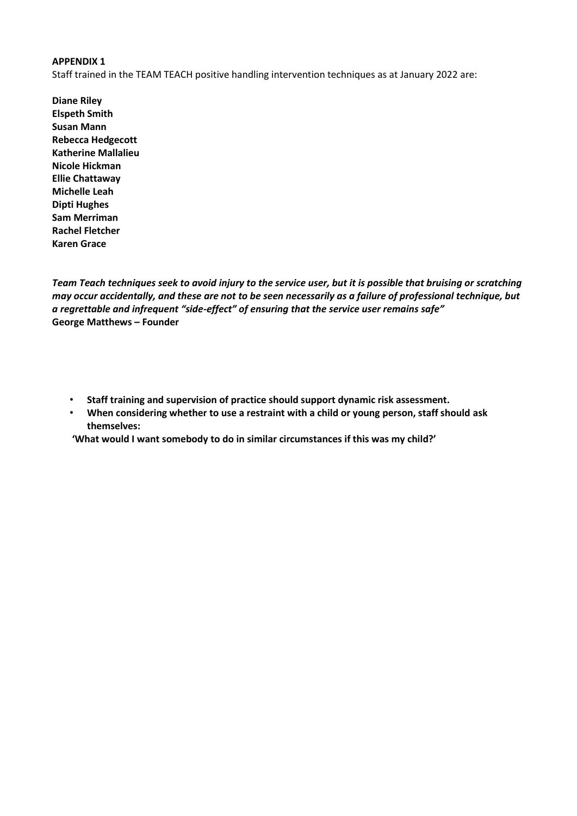#### **APPENDIX 1**

Staff trained in the TEAM TEACH positive handling intervention techniques as at January 2022 are:

**Diane Riley Elspeth Smith Susan Mann Rebecca Hedgecott Katherine Mallalieu Nicole Hickman Ellie Chattaway Michelle Leah Dipti Hughes Sam Merriman Rachel Fletcher Karen Grace**

*Team Teach techniques seek to avoid injury to the service user, but it is possible that bruising or scratching may occur accidentally, and these are not to be seen necessarily as a failure of professional technique, but a regrettable and infrequent "side-effect" of ensuring that the service user remains safe"* **George Matthews – Founder**

- **Staff training and supervision of practice should support dynamic risk assessment.**
- **When considering whether to use a restraint with a child or young person, staff should ask themselves:**

**'What would I want somebody to do in similar circumstances if this was my child?'**